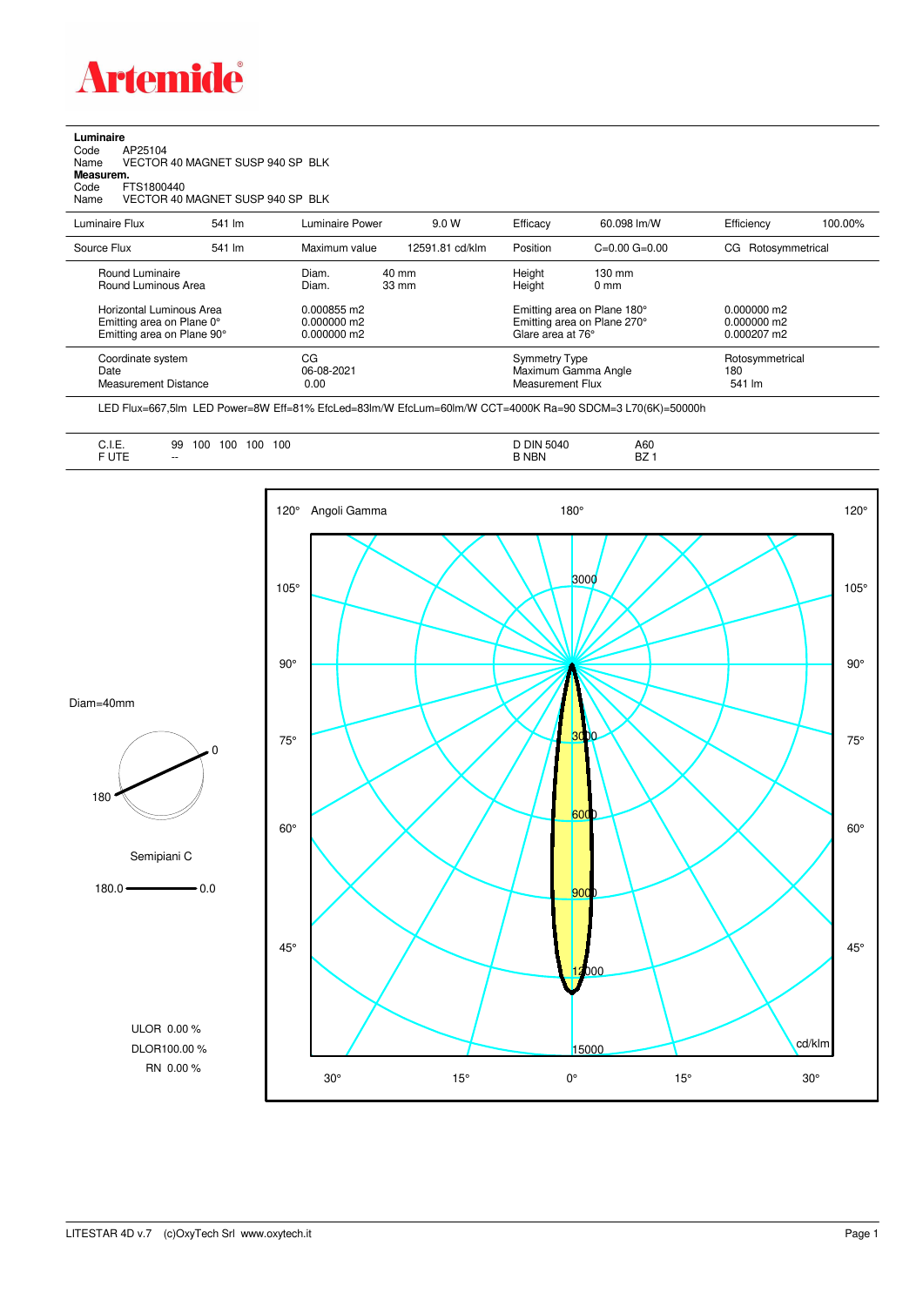

## **Luminaire** Code AP25104 Name VECTOR 40 MAGNET SUSP 940 SP BLK Code A<br>Name V<br>**Measurem.** Code FTS1800440<br>Name VECTOR 40 VECTOR 40 MAGNET SUSP 940 SP BLK Luminaire Flux 541 lm Luminaire Power 9.0 W Efficacy 60.098 lm/W Efficiency 100.00% Source Flux 541 lm Maximum value 12591.81 cd/klm Position C=0.00 G=0.00 CG Rotosymmetrical

| Round Luminaire<br>Round Luminous Area                                              | Diam.<br>Diam.                                | 40 mm<br>$33 \text{ mm}$ | Height<br>Height                                                                | $130 \text{ mm}$<br>$0 \text{ mm}$ |                                                        |
|-------------------------------------------------------------------------------------|-----------------------------------------------|--------------------------|---------------------------------------------------------------------------------|------------------------------------|--------------------------------------------------------|
| Horizontal Luminous Area<br>Emitting area on Plane 0°<br>Emitting area on Plane 90° | 0.000855 m2<br>$0.000000$ m2<br>$0.000000$ m2 |                          | Emitting area on Plane 180°<br>Emitting area on Plane 270°<br>Glare area at 76° |                                    | $0.000000$ m2<br>$0.000000$ m2<br>$0.000207 \text{ m}$ |
| Coordinate system<br>Date<br><b>Measurement Distance</b>                            | СG<br>06-08-2021<br>0.00                      |                          | <b>Symmetry Type</b><br>Maximum Gamma Angle<br>Measurement Flux                 |                                    | Rotosymmetrical<br>180<br>541 lm                       |

LED Flux=667,5lm LED Power=8W Eff=81% EfcLed=83lm/W EfcLum=60lm/W CCT=4000K Ra=90 SDCM=3 L70(6K)=50000h